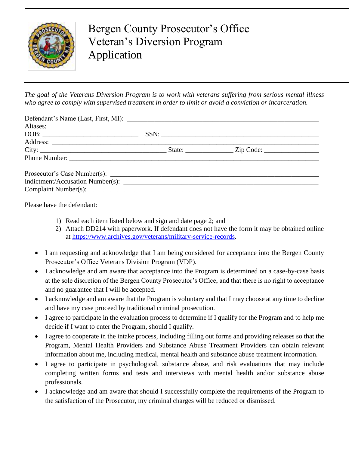

Bergen County Prosecutor's Office Veteran's Diversion Program Application

*The goal of the Veterans Diversion Program is to work with veterans suffering from serious mental illness who agree to comply with supervised treatment in order to limit or avoid a conviction or incarceration.*

|  | SSN: |  |
|--|------|--|
|  |      |  |
|  |      |  |
|  |      |  |
|  |      |  |
|  |      |  |
|  |      |  |

Please have the defendant:

- 1) Read each item listed below and sign and date page 2; and
- 2) Attach DD214 with paperwork. If defendant does not have the form it may be obtained online at [https://www.archives.gov/veterans/military-service-records.](https://www.archives.gov/veterans/military-service-records)
- I am requesting and acknowledge that I am being considered for acceptance into the Bergen County Prosecutor's Office Veterans Division Program (VDP).
- I acknowledge and am aware that acceptance into the Program is determined on a case-by-case basis at the sole discretion of the Bergen County Prosecutor's Office, and that there is no right to acceptance and no guarantee that I will be accepted.
- I acknowledge and am aware that the Program is voluntary and that I may choose at any time to decline and have my case proceed by traditional criminal prosecution.
- I agree to participate in the evaluation process to determine if I qualify for the Program and to help me decide if I want to enter the Program, should I qualify.
- I agree to cooperate in the intake process, including filling out forms and providing releases so that the Program, Mental Health Providers and Substance Abuse Treatment Providers can obtain relevant information about me, including medical, mental health and substance abuse treatment information.
- I agree to participate in psychological, substance abuse, and risk evaluations that may include completing written forms and tests and interviews with mental health and/or substance abuse professionals.
- I acknowledge and am aware that should I successfully complete the requirements of the Program to the satisfaction of the Prosecutor, my criminal charges will be reduced or dismissed.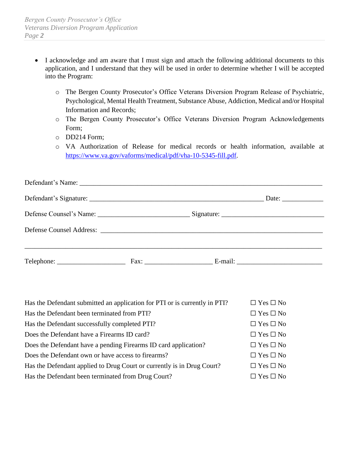- I acknowledge and am aware that I must sign and attach the following additional documents to this application, and I understand that they will be used in order to determine whether I will be accepted into the Program:
	- o The Bergen County Prosecutor's Office Veterans Diversion Program Release of Psychiatric, Psychological, Mental Health Treatment, Substance Abuse, Addiction, Medical and/or Hospital Information and Records;
	- o The Bergen County Prosecutor's Office Veterans Diversion Program Acknowledgements Form;
	- o DD214 Form;
	- o VA Authorization of Release for medical records or health information, available at [https://www.va.gov/vaforms/medical/pdf/vha-10-5345-fill.pdf.](https://www.va.gov/vaforms/medical/pdf/vha-10-5345-fill.pdf)

|  |              | Date: $\frac{1}{\sqrt{1-\frac{1}{2}} \cdot \frac{1}{2}}$ |
|--|--------------|----------------------------------------------------------|
|  |              |                                                          |
|  |              |                                                          |
|  | Fax: E-mail: |                                                          |

| Has the Defendant submitted an application for PTI or is currently in PTI? | $\Box$ Yes $\Box$ No |
|----------------------------------------------------------------------------|----------------------|
| Has the Defendant been terminated from PTI?                                | $\Box$ Yes $\Box$ No |
| Has the Defendant successfully completed PTI?                              | $\Box$ Yes $\Box$ No |
| Does the Defendant have a Firearms ID card?                                | $\Box$ Yes $\Box$ No |
| Does the Defendant have a pending Firearms ID card application?            | $\Box$ Yes $\Box$ No |
| Does the Defendant own or have access to firearms?                         | $\Box$ Yes $\Box$ No |
| Has the Defendant applied to Drug Court or currently is in Drug Court?     | $\Box$ Yes $\Box$ No |
| Has the Defendant been terminated from Drug Court?                         | $\Box$ Yes $\Box$ No |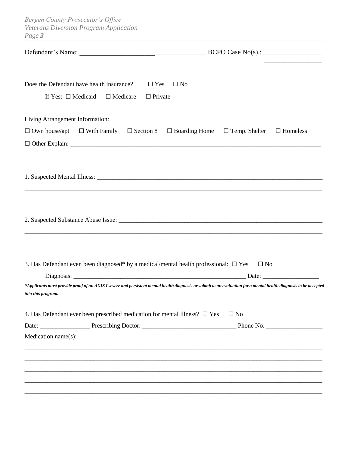*Bergen County Prosecutor's Office Veterans Diversion Program Application Page 3*

| Does the Defendant have health insurance?<br>$\Box$ Yes<br>If Yes: $\Box$ Medicaid $\Box$ Medicare<br>$\Box$ Private                                                                    | $\Box$ No    |  |  |
|-----------------------------------------------------------------------------------------------------------------------------------------------------------------------------------------|--------------|--|--|
| Living Arrangement Information:                                                                                                                                                         |              |  |  |
| $\Box$ Own house/apt $\Box$ With Family $\Box$ Section 8 $\Box$ Boarding Home $\Box$ Temp. Shelter $\Box$ Homeless                                                                      |              |  |  |
|                                                                                                                                                                                         |              |  |  |
|                                                                                                                                                                                         |              |  |  |
|                                                                                                                                                                                         |              |  |  |
|                                                                                                                                                                                         |              |  |  |
|                                                                                                                                                                                         |              |  |  |
|                                                                                                                                                                                         |              |  |  |
|                                                                                                                                                                                         |              |  |  |
|                                                                                                                                                                                         |              |  |  |
| 3. Has Defendant even been diagnosed* by a medical/mental health professional: $\square$ Yes                                                                                            | $\square$ No |  |  |
|                                                                                                                                                                                         |              |  |  |
| *Applicants must provide proof of an AXIS I severe and persistent mental health diagnosis or submit to an evaluation for a mental health diagnosis to be accepted<br>into this program. |              |  |  |
| 4. Has Defendant ever been prescribed medication for mental illness? $\Box$ Yes                                                                                                         | $\square$ No |  |  |
|                                                                                                                                                                                         |              |  |  |
|                                                                                                                                                                                         |              |  |  |
|                                                                                                                                                                                         |              |  |  |
|                                                                                                                                                                                         |              |  |  |
|                                                                                                                                                                                         |              |  |  |
|                                                                                                                                                                                         |              |  |  |